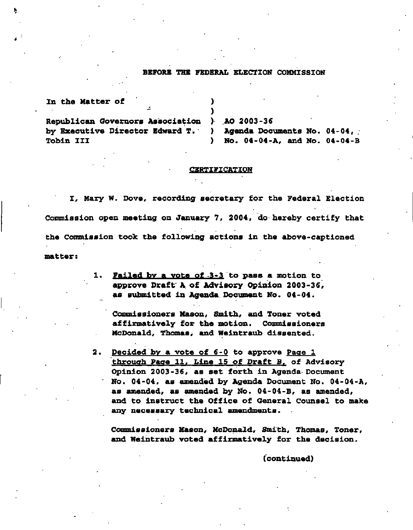## **BEFORE THE FEDERAL ELECTION COMMISSION**

| In the Matter of                                              |                                              |
|---------------------------------------------------------------|----------------------------------------------|
| ÷                                                             |                                              |
| Republican Governors Association ) AO 2003-36                 |                                              |
| by Executive Director Edward T. ) Agenda Documents No. 04-04, |                                              |
| <b>Tobin III</b>                                              | No. 04-04-A, and No. 04-04-B<br>$\mathbf{r}$ |

## **CERTIFICATION**

**I, Mary W. Dove, recording secretary for the Federal Election Commission open meeting on January 7, 2004, do hereby certify that the Commission took the following actions in the above-captioned matter:** 

> **Failed bv a vote of 3-3 to pass a motion to 1. approve Draft A of Advisory Opinion 2003-36, as submitted in Agenda Document No. 04-04.**

**Commissioners Mason, Smith, and Toner voted affirmatively for the motion. Commissioners McDonald, Thomas, and Weintraub dissented.** 

**Decided by a vote of 6-0 to approve Page 1 through Page 11. Line 15 of Draft B. of Advisory Opinion 2003-36, as set forth in Agenda Document No. 04-04, as amended by Agenda Document No. 04-04-A, as amended, as amended by No. 04-04-B, as amended, and to instruct the Office of General Counsel to make any necessary technical amendments.** 

**Commissioners Mason, McDonald, Smith, Thomas, Toner, and Weintraub voted affirmatively for the decision.** 

**(continued)**